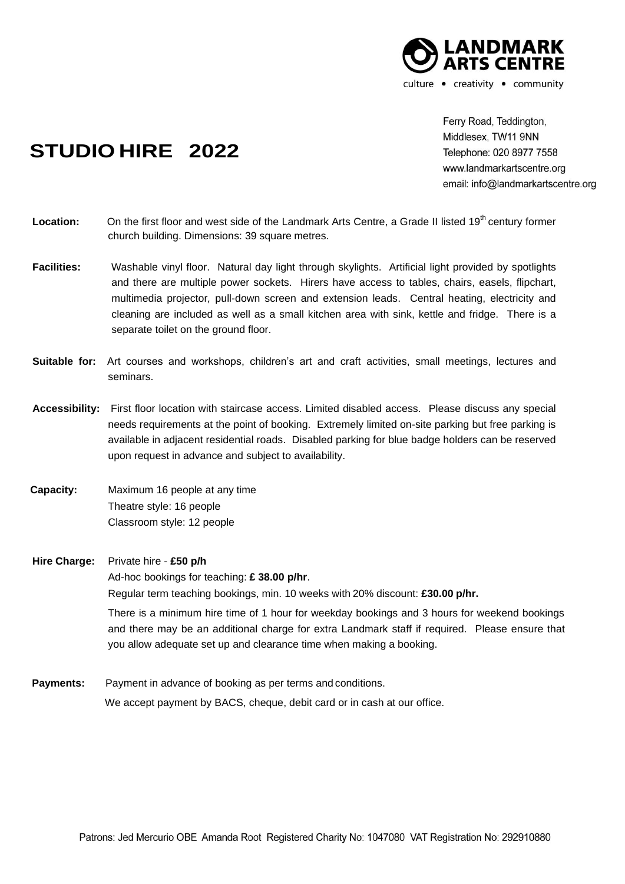

**STUDIO HIRE 2022**

Ferry Road, Teddington, Middlesex, TW11 9NN Telephone: 020 8977 7558 www.landmarkartscentre.org email: info@landmarkartscentre.org

- Location: On the first floor and west side of the Landmark Arts Centre, a Grade II listed 19<sup>th</sup> century former church building. Dimensions: 39 square metres.
- **Facilities:** Washable vinyl floor. Natural day light through skylights. Artificial light provided by spotlights and there are multiple power sockets. Hirers have access to tables, chairs, easels, flipchart, multimedia projector*,* pull-down screen and extension leads. Central heating, electricity and cleaning are included as well as a small kitchen area with sink, kettle and fridge. There is a separate toilet on the ground floor.
- **Suitable for:** Art courses and workshops, children's art and craft activities, small meetings, lectures and seminars.
- **Accessibility:** First floor location with staircase access. Limited disabled access. Please discuss any special needs requirements at the point of booking. Extremely limited on-site parking but free parking is available in adjacent residential roads. Disabled parking for blue badge holders can be reserved upon request in advance and subject to availability.
- **Capacity:** Maximum 16 people at any time Theatre style: 16 people Classroom style: 12 people

**Hire Charge:** Private hire - **£50 p/h**

Ad-hoc bookings for teaching: **£ 38.00 p/hr**.

Regular term teaching bookings, min. 10 weeks with 20% discount: **£30.00 p/hr.**

There is a minimum hire time of 1 hour for weekday bookings and 3 hours for weekend bookings and there may be an additional charge for extra Landmark staff if required. Please ensure that you allow adequate set up and clearance time when making a booking.

 **Payments:** Payment in advance of booking as per terms and conditions. We accept payment by BACS, cheque, debit card or in cash at our office.